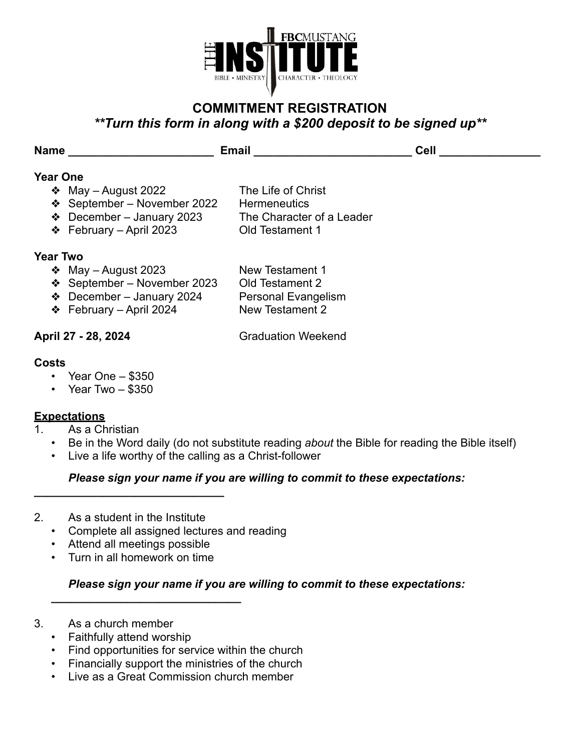

# **COMMITMENT REGISTRATION**  *\*\*Turn this form in along with a \$200 deposit to be signed up\*\**

| <b>Name</b> |                                | <b>Email</b>              | Cell |
|-------------|--------------------------------|---------------------------|------|
| Year One    |                                |                           |      |
|             | $\div$ May – August 2022       | The Life of Christ        |      |
|             | ❖ September – November 2022    | <b>Hermeneutics</b>       |      |
|             | $\div$ December – January 2023 | The Character of a Leader |      |
|             | ❖ February – April 2023        | Old Testament 1           |      |
| Year Two    |                                |                           |      |

### **Year Two**

- ❖ May August 2023 New Testament 1
- ❖ September November 2023 Old Testament 2
- ❖ December January 2024 Personal Evangelism
- ❖ February April 2024 New Testament 2

**April 27 - 28, 2024** Graduation Weekend

### **Costs**

- Year One \$350
- Year Two \$350

## **Expectations**

- 1. As a Christian
	- Be in the Word daily (do not substitute reading *about* the Bible for reading the Bible itself)
	- Live a life worthy of the calling as a Christ-follower

## *Please sign your name if you are willing to commit to these expectations:*

2. As a student in the Institute

*\_\_\_\_\_\_\_\_\_\_\_\_\_\_\_\_\_\_\_\_\_\_\_\_\_\_\_\_\_\_*

- Complete all assigned lectures and reading
- Attend all meetings possible
- Turn in all homework on time

*\_\_\_\_\_\_\_\_\_\_\_\_\_\_\_\_\_\_\_\_\_\_\_\_\_\_\_\_\_\_*

## *Please sign your name if you are willing to commit to these expectations:*

- 3. As a church member
	- Faithfully attend worship
	- Find opportunities for service within the church
	- Financially support the ministries of the church
	- Live as a Great Commission church member